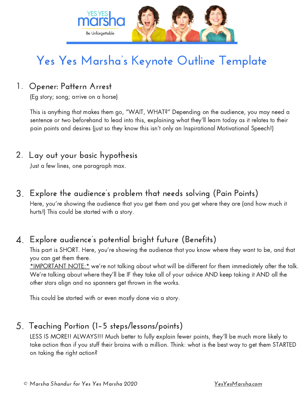

# **Yes Yes Marsha's Keynote Outline Template**

### 1. **Opener: Pattern Arrest**

(Eg story; song; arrive on a horse)

This is anything that makes them go, "WAIT, WHAT?" Depending on the audience, you may need a sentence or two beforehand to lead into this, explaining what they'll learn today as it relates to their pain points and desires (just so they know this isn't only an Inspirational Motivational Speech!)

### 2. **Lay out your basic hypothesis**

Just a few lines, one paragraph max.

### 3. **Explore the audience's problem that needs solving (Pain Points)**

Here, you're showing the audience that you get them and you get where they are (and how much it hurts!) This could be started with a story.

### 4. **Explore audience's potential bright future (Benefits)**

This part is SHORT. Here, you're showing the audience that you know where they want to be, and that you can get them there.

\*IMPORTANT NOTE:\* we're not talking about what will be different for them immediately after the talk. We're talking about where they'll be IF they take all of your advice AND keep taking it AND all the other stars align and no spanners get thrown in the works.

This could be started with or even mostly done via a story.

### 5. **Teaching Portion (1–5 steps/lessons/points)**

LESS IS MORE!! ALWAYS!!! Much better to fully explain fewer points, they'll be much more likely to take action than if you stuff their brains with a million. Think: what is the best way to get them STARTED on taking the right action?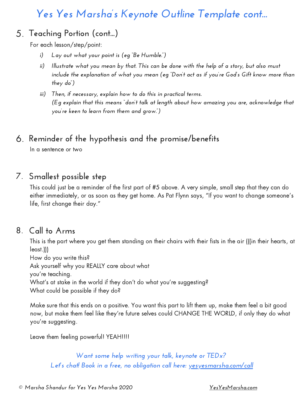## *Yes Yes Marsha's Keynote Outline Template cont...*

### 5. **Teaching Portion (cont...)**

For each lesson/step/point:

- *i) Lay out what your point is (eg "Be Humble.")*
- ii) Illustrate what you mean by that. This can be done with the help of a story, but also must *include the explanation of what you mean (eg "Don't act as if you're God's Gift know more than they do")*
- *iii) Then, if necessary, explain how to do this in practical terms. (Eg explain that this means "don't talk at length about how amazing you are, acknowledge that you're keen to learn from them and grow.")*

### 6. **Reminder of the hypothesis and the promise/benefits**

In a sentence or two

### 7. **Smallest possible step**

This could just be a reminder of the first part of #5 above. A very simple, small step that they can do either immediately, or as soon as they get home. As Pat Flynn says, "If you want to change someone's life, first change their day."

#### 8. **Call to Arms**

This is the part where you get them standing on their chairs with their fists in the air (((in their hearts, at least.)))

How do you write this?

Ask yourself why you REALLY care about what

you're teaching.

What's at stake in the world if they don't do what you're suggesting?

What could be possible if they do?

Make sure that this ends on a positive. You want this part to lift them up, make them feel a bit good now, but make them feel like they're future selves could CHANGE THE WORLD, if only they do what you're suggesting.

Leave them feeling powerful! YEAH!!!!

*Want some help writing your talk, keynote or TEDx? Let's chat! Book in a free, no obligation call here: [yesyesmarsha.com/call](http://www.yesyesmarsha.com/call)*

*© Marsha Shandur for Yes Yes Marsha 2020 [YesYesMarsha.com](http://www.yesyesmarsha.com/)*